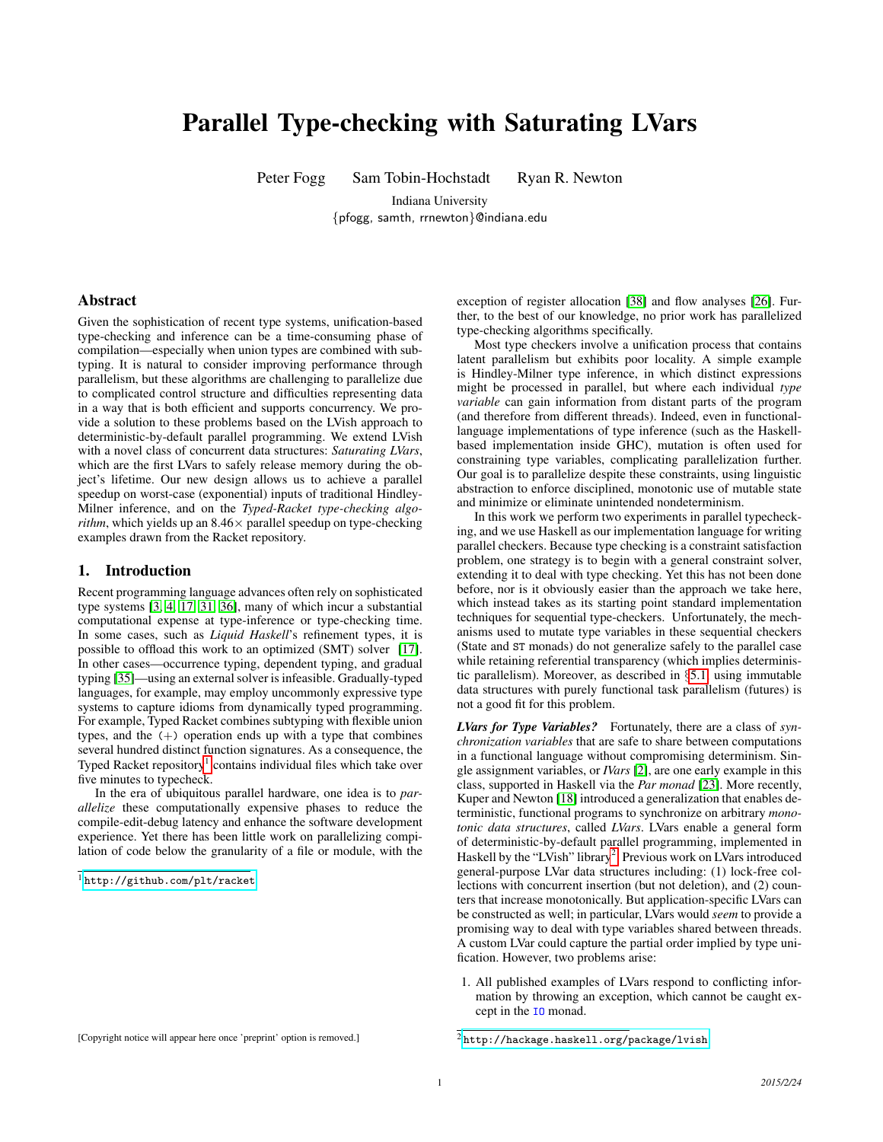# Parallel Type-checking with Saturating LVars

Peter Fogg Sam Tobin-Hochstadt Ryan R. Newton

Indiana University {pfogg, samth, rrnewton}@indiana.edu

# Abstract

Given the sophistication of recent type systems, unification-based type-checking and inference can be a time-consuming phase of compilation—especially when union types are combined with subtyping. It is natural to consider improving performance through parallelism, but these algorithms are challenging to parallelize due to complicated control structure and difficulties representing data in a way that is both efficient and supports concurrency. We provide a solution to these problems based on the LVish approach to deterministic-by-default parallel programming. We extend LVish with a novel class of concurrent data structures: *Saturating LVars*, which are the first LVars to safely release memory during the object's lifetime. Our new design allows us to achieve a parallel speedup on worst-case (exponential) inputs of traditional Hindley-Milner inference, and on the *Typed-Racket type-checking algorithm*, which yields up an  $8.46 \times$  parallel speedup on type-checking examples drawn from the Racket repository.

## 1. Introduction

Recent programming language advances often rely on sophisticated type systems [\[3,](#page-10-0) [4,](#page-10-1) [17,](#page-10-2) [31,](#page-11-0) [36\]](#page-11-1), many of which incur a substantial computational expense at type-inference or type-checking time. In some cases, such as *Liquid Haskell*'s refinement types, it is possible to offload this work to an optimized (SMT) solver [\[17\]](#page-10-2). In other cases—occurrence typing, dependent typing, and gradual typing [\[35\]](#page-11-2)—using an external solver is infeasible. Gradually-typed languages, for example, may employ uncommonly expressive type systems to capture idioms from dynamically typed programming. For example, Typed Racket combines subtyping with flexible union types, and the  $(+)$  operation ends up with a type that combines several hundred distinct function signatures. As a consequence, the Typed Racket repository<sup>[1](#page-0-0)</sup> contains individual files which take over five minutes to typecheck.

In the era of ubiquitous parallel hardware, one idea is to *parallelize* these computationally expensive phases to reduce the compile-edit-debug latency and enhance the software development experience. Yet there has been little work on parallelizing compilation of code below the granularity of a file or module, with the

[Copyright notice will appear here once 'preprint' option is removed.]

exception of register allocation [\[38\]](#page-11-3) and flow analyses [\[26\]](#page-11-4). Further, to the best of our knowledge, no prior work has parallelized type-checking algorithms specifically.

Most type checkers involve a unification process that contains latent parallelism but exhibits poor locality. A simple example is Hindley-Milner type inference, in which distinct expressions might be processed in parallel, but where each individual *type variable* can gain information from distant parts of the program (and therefore from different threads). Indeed, even in functionallanguage implementations of type inference (such as the Haskellbased implementation inside GHC), mutation is often used for constraining type variables, complicating parallelization further. Our goal is to parallelize despite these constraints, using linguistic abstraction to enforce disciplined, monotonic use of mutable state and minimize or eliminate unintended nondeterminism.

In this work we perform two experiments in parallel typechecking, and we use Haskell as our implementation language for writing parallel checkers. Because type checking is a constraint satisfaction problem, one strategy is to begin with a general constraint solver, extending it to deal with type checking. Yet this has not been done before, nor is it obviously easier than the approach we take here, which instead takes as its starting point standard implementation techniques for sequential type-checkers. Unfortunately, the mechanisms used to mutate type variables in these sequential checkers (State and ST monads) do not generalize safely to the parallel case while retaining referential transparency (which implies deterministic parallelism). Moreover, as described in §[5.1,](#page-5-0) using immutable data structures with purely functional task parallelism (futures) is not a good fit for this problem.

*LVars for Type Variables?* Fortunately, there are a class of *synchronization variables* that are safe to share between computations in a functional language without compromising determinism. Single assignment variables, or *IVars* [\[2\]](#page-10-3), are one early example in this class, supported in Haskell via the *Par monad* [\[23\]](#page-11-5). More recently, Kuper and Newton [\[18\]](#page-10-4) introduced a generalization that enables deterministic, functional programs to synchronize on arbitrary *monotonic data structures*, called *LVars*. LVars enable a general form of deterministic-by-default parallel programming, implemented in Haskell by the "LVish" library<sup>[2](#page-0-1)</sup>. Previous work on LVars introduced general-purpose LVar data structures including: (1) lock-free collections with concurrent insertion (but not deletion), and (2) counters that increase monotonically. But application-specific LVars can be constructed as well; in particular, LVars would *seem* to provide a promising way to deal with type variables shared between threads. A custom LVar could capture the partial order implied by type unification. However, two problems arise:

1. All published examples of LVars respond to conflicting information by throwing an exception, which cannot be caught except in the IO monad.

<span id="page-0-0"></span><sup>1</sup> <http://github.com/plt/racket>

<span id="page-0-1"></span><sup>2</sup> <http://hackage.haskell.org/package/lvish>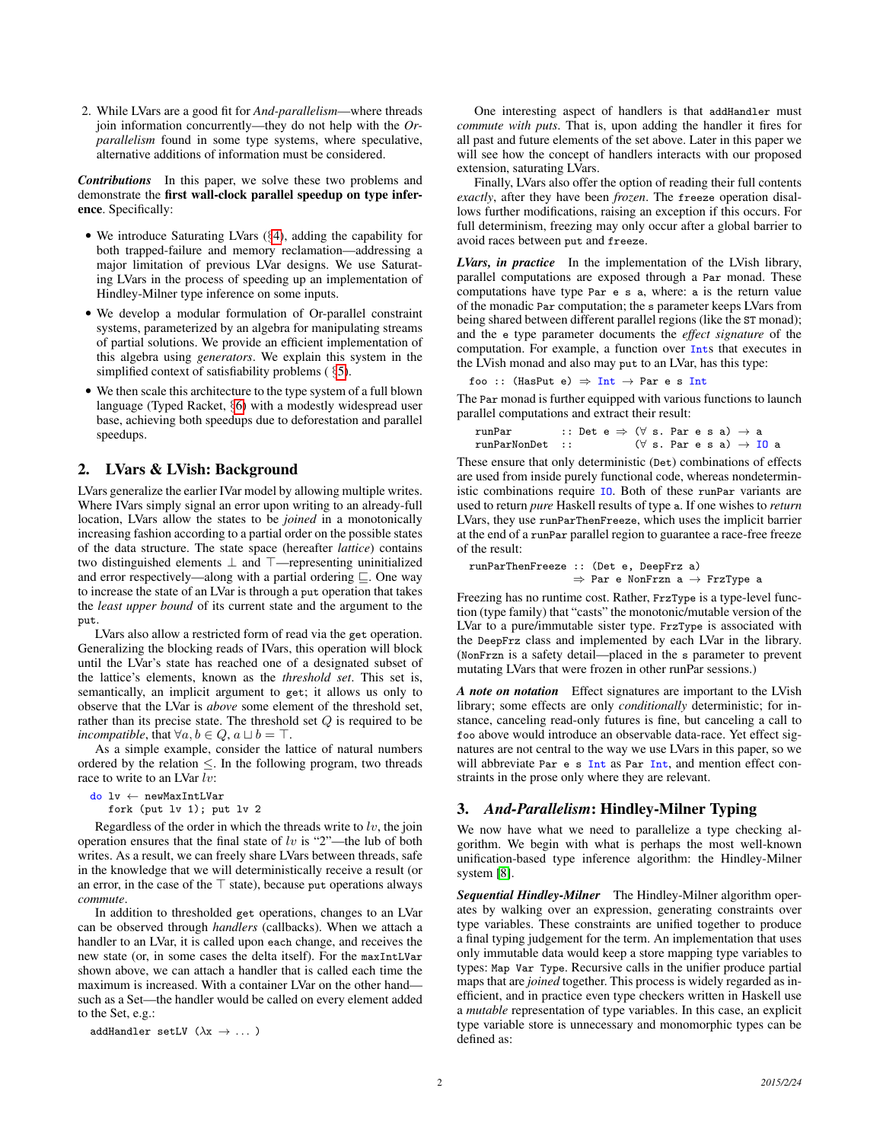2. While LVars are a good fit for *And-parallelism*—where threads join information concurrently—they do not help with the *Orparallelism* found in some type systems, where speculative, alternative additions of information must be considered.

*Contributions* In this paper, we solve these two problems and demonstrate the first wall-clock parallel speedup on type inference. Specifically:

- We introduce Saturating LVars (§[4\)](#page-3-0), adding the capability for both trapped-failure and memory reclamation—addressing a major limitation of previous LVar designs. We use Saturating LVars in the process of speeding up an implementation of Hindley-Milner type inference on some inputs.
- We develop a modular formulation of Or-parallel constraint systems, parameterized by an algebra for manipulating streams of partial solutions. We provide an efficient implementation of this algebra using *generators*. We explain this system in the simplified context of satisfiability problems ( §[5\)](#page-4-0).
- We then scale this architecture to the type system of a full blown language (Typed Racket, §[6\)](#page-6-0) with a modestly widespread user base, achieving both speedups due to deforestation and parallel speedups.

# 2. LVars & LVish: Background

LVars generalize the earlier IVar model by allowing multiple writes. Where IVars simply signal an error upon writing to an already-full location, LVars allow the states to be *joined* in a monotonically increasing fashion according to a partial order on the possible states of the data structure. The state space (hereafter *lattice*) contains two distinguished elements ⊥ and ⊤—representing uninitialized and error respectively—along with a partial ordering  $\sqsubseteq$ . One way to increase the state of an LVar is through a put operation that takes the *least upper bound* of its current state and the argument to the put.

LVars also allow a restricted form of read via the get operation. Generalizing the blocking reads of IVars, this operation will block until the LVar's state has reached one of a designated subset of the lattice's elements, known as the *threshold set*. This set is, semantically, an implicit argument to get; it allows us only to observe that the LVar is *above* some element of the threshold set, rather than its precise state. The threshold set Q is required to be *incompatible*, that  $\forall a, b \in Q$ ,  $a \sqcup b = \top$ .

As a simple example, consider the lattice of natural numbers ordered by the relation  $\leq$ . In the following program, two threads race to write to an LVar lv:

```
do lv ← newMaxIntLVar
  fork (put lv 1); put lv 2
```
*commute*.

Regardless of the order in which the threads write to  $\ell v$ , the join operation ensures that the final state of  $lv$  is "2"—the lub of both writes. As a result, we can freely share LVars between threads, safe in the knowledge that we will deterministically receive a result (or an error, in the case of the  $\top$  state), because put operations always

In addition to thresholded get operations, changes to an LVar can be observed through *handlers* (callbacks). When we attach a handler to an LVar, it is called upon each change, and receives the new state (or, in some cases the delta itself). For the maxIntLVar shown above, we can attach a handler that is called each time the maximum is increased. With a container LVar on the other hand such as a Set—the handler would be called on every element added to the Set, e.g.:

addHandler setLV  $(\lambda x \rightarrow ...)$ 

One interesting aspect of handlers is that addHandler must *commute with puts*. That is, upon adding the handler it fires for all past and future elements of the set above. Later in this paper we will see how the concept of handlers interacts with our proposed extension, saturating LVars.

Finally, LVars also offer the option of reading their full contents *exactly*, after they have been *frozen*. The freeze operation disallows further modifications, raising an exception if this occurs. For full determinism, freezing may only occur after a global barrier to avoid races between put and freeze.

*LVars, in practice* In the implementation of the LVish library, parallel computations are exposed through a Par monad. These computations have type Par e s a, where: a is the return value of the monadic Par computation; the s parameter keeps LVars from being shared between different parallel regions (like the ST monad); and the e type parameter documents the *effect signature* of the computation. For example, a function over Ints that executes in the LVish monad and also may put to an LVar, has this type:

foo :: (HasPut e)  $\Rightarrow$  Int  $\rightarrow$  Par e s Int

The Par monad is further equipped with various functions to launch parallel computations and extract their result:

| runPar          | :: Det $e \Rightarrow (\forall s. \text{ Par } e s a) \rightarrow a$ |  |                                                      |  |  |  |
|-----------------|----------------------------------------------------------------------|--|------------------------------------------------------|--|--|--|
| runParNonDet :: |                                                                      |  | $(\forall s. Par \in s a) \rightarrow \mathbf{I0} a$ |  |  |  |

These ensure that only deterministic (Det) combinations of effects are used from inside purely functional code, whereas nondeterministic combinations require IO. Both of these runPar variants are used to return *pure* Haskell results of type a. If one wishes to *return* LVars, they use runParThenFreeze, which uses the implicit barrier at the end of a runPar parallel region to guarantee a race-free freeze of the result:

runParThenFreeze :: (Det e, DeepFrz a)  $\Rightarrow$  Par e NonFrzn a  $\rightarrow$  FrzType a

Freezing has no runtime cost. Rather, FrzType is a type-level function (type family) that "casts" the monotonic/mutable version of the LVar to a pure/immutable sister type. FrzType is associated with the DeepFrz class and implemented by each LVar in the library. (NonFrzn is a safety detail—placed in the s parameter to prevent mutating LVars that were frozen in other runPar sessions.)

*A note on notation* Effect signatures are important to the LVish library; some effects are only *conditionally* deterministic; for instance, canceling read-only futures is fine, but canceling a call to foo above would introduce an observable data-race. Yet effect signatures are not central to the way we use LVars in this paper, so we will abbreviate Par e s Int as Par Int, and mention effect constraints in the prose only where they are relevant.

# 3. *And-Parallelism*: Hindley-Milner Typing

We now have what we need to parallelize a type checking algorithm. We begin with what is perhaps the most well-known unification-based type inference algorithm: the Hindley-Milner system [\[8\]](#page-10-5).

*Sequential Hindley-Milner* The Hindley-Milner algorithm operates by walking over an expression, generating constraints over type variables. These constraints are unified together to produce a final typing judgement for the term. An implementation that uses only immutable data would keep a store mapping type variables to types: Map Var Type. Recursive calls in the unifier produce partial maps that are *joined* together. This process is widely regarded as inefficient, and in practice even type checkers written in Haskell use a *mutable* representation of type variables. In this case, an explicit type variable store is unnecessary and monomorphic types can be defined as: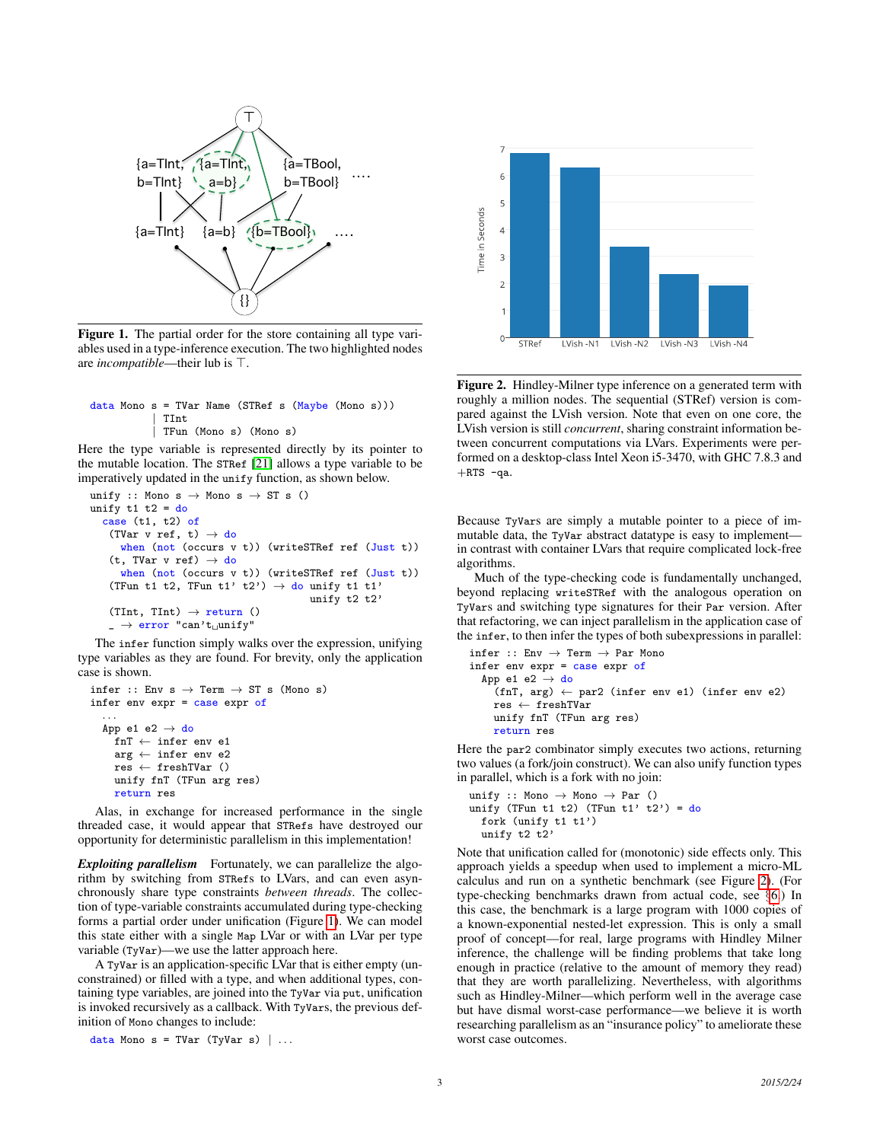

<span id="page-2-0"></span>Figure 1. The partial order for the store containing all type variables used in a type-inference execution. The two highlighted nodes are *incompatible*—their lub is  $\top$ .

```
data Mono s = TVar Name (STRef s (Maybe (Mono s)))
            | TInt
            | TFun (Mono s) (Mono s)
```
Here the type variable is represented directly by its pointer to the mutable location. The STRef [\[21\]](#page-10-6) allows a type variable to be imperatively updated in the unify function, as shown below.

```
unify :: Mono s \rightarrow Mono s \rightarrow ST s ()
unify t1 t2 = docase (t1, t2) of
    (TVar v ref, t) \rightarrow do
      when (not (occurs v t)) (writeSTRef ref (Just t))
    (t, TVar v ref) \rightarrow do
      when (not (occurs v t)) (writeSTRef ref (Just t))
    (TFun t1 t2, TFun t1' t2') \rightarrow do unify t1 t1'
                                            unify t2 t2'
    (TInt, TInt) \rightarrow return ()
    \Box \rightarrow error "can't unify"
```
The infer function simply walks over the expression, unifying type variables as they are found. For brevity, only the application case is shown.

```
infer :: Env s \rightarrow Term \rightarrow ST s (Mono s)
infer env expr = case expr of
   . . .
   App e1 e2 \rightarrow do
     fnT ← infer env e1
    arg \leftarrow infer env e2res \leftarrow freshTVar ()
     unify fnT (TFun arg res)
     return res
```
Alas, in exchange for increased performance in the single threaded case, it would appear that STRefs have destroyed our opportunity for deterministic parallelism in this implementation!

*Exploiting parallelism* Fortunately, we can parallelize the algorithm by switching from STRefs to LVars, and can even asynchronously share type constraints *between threads*. The collection of type-variable constraints accumulated during type-checking forms a partial order under unification (Figure [1\)](#page-2-0). We can model this state either with a single Map LVar or with an LVar per type variable (TyVar)—we use the latter approach here.

A TyVar is an application-specific LVar that is either empty (unconstrained) or filled with a type, and when additional types, containing type variables, are joined into the TyVar via put, unification is invoked recursively as a callback. With TyVars, the previous definition of Mono changes to include:

data Mono  $s = TVar$  (TyVar  $s$ ) | ...



<span id="page-2-1"></span>Figure 2. Hindley-Milner type inference on a generated term with roughly a million nodes. The sequential (STRef) version is compared against the LVish version. Note that even on one core, the LVish version is still *concurrent*, sharing constraint information between concurrent computations via LVars. Experiments were performed on a desktop-class Intel Xeon i5-3470, with GHC 7.8.3 and  $+RTS$  -qa.

Because TyVars are simply a mutable pointer to a piece of immutable data, the TyVar abstract datatype is easy to implement in contrast with container LVars that require complicated lock-free algorithms.

Much of the type-checking code is fundamentally unchanged, beyond replacing writeSTRef with the analogous operation on TyVars and switching type signatures for their Par version. After that refactoring, we can inject parallelism in the application case of the infer, to then infer the types of both subexpressions in parallel:

```
\text{infer} :: \text{Env} \rightarrow \text{Term} \rightarrow \text{Par} Mono
infer env expr = case expr of
  App e1 e2 \rightarrow do
      (fnT, arg) \leftarrow par2 (infer env e1) (infer env e2)res \leftarrow freshTVar
     unify fnT (TFun arg res)
     return res
```
Here the par2 combinator simply executes two actions, returning two values (a fork/join construct). We can also unify function types in parallel, which is a fork with no join:

unify :: Mono  $\rightarrow$  Mono  $\rightarrow$  Par () unify (TFun t1 t2) (TFun t1' t2') = do fork (unify t1 t1') unify t2 t2'

Note that unification called for (monotonic) side effects only. This approach yields a speedup when used to implement a micro-ML calculus and run on a synthetic benchmark (see Figure [2\)](#page-2-1). (For type-checking benchmarks drawn from actual code, see §[6.](#page-6-0)) In this case, the benchmark is a large program with 1000 copies of a known-exponential nested-let expression. This is only a small proof of concept—for real, large programs with Hindley Milner inference, the challenge will be finding problems that take long enough in practice (relative to the amount of memory they read) that they are worth parallelizing. Nevertheless, with algorithms such as Hindley-Milner—which perform well in the average case but have dismal worst-case performance—we believe it is worth researching parallelism as an "insurance policy" to ameliorate these worst case outcomes.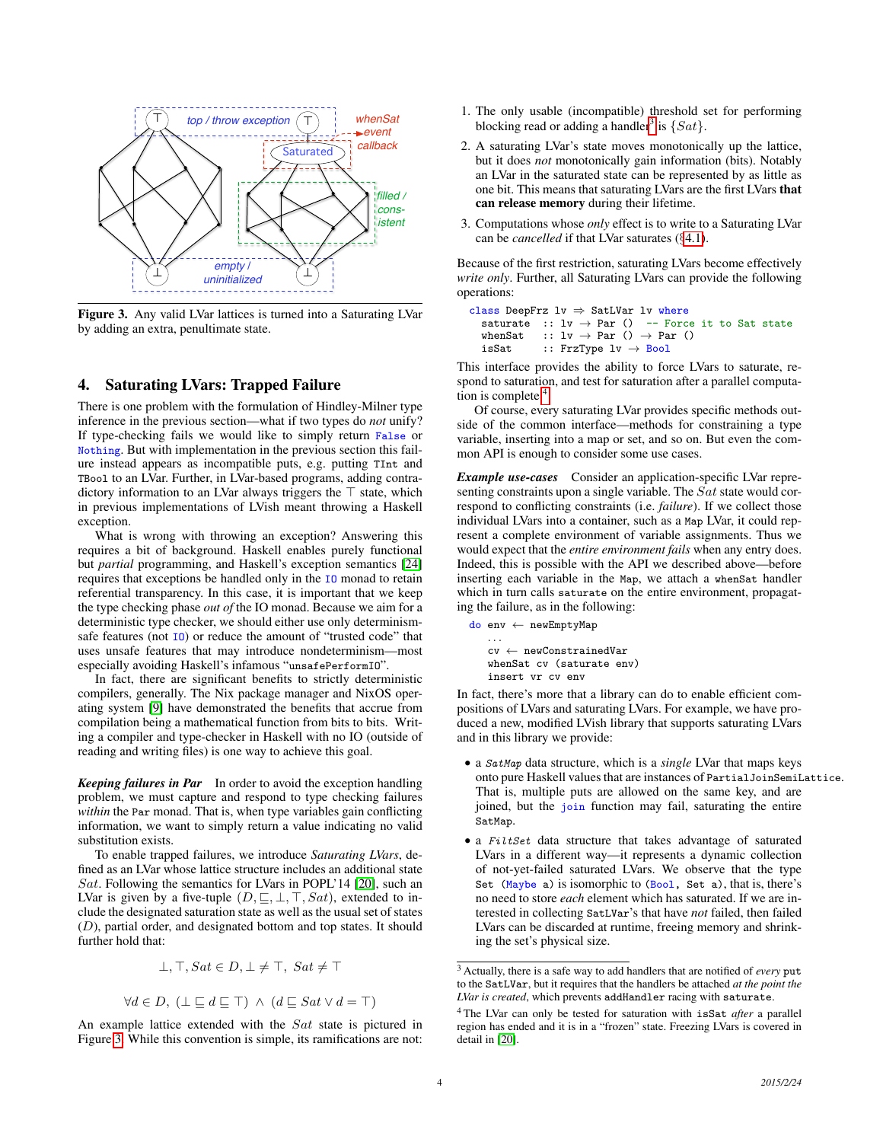

<span id="page-3-1"></span>Figure 3. Any valid LVar lattices is turned into a Saturating LVar by adding an extra, penultimate state.

# <span id="page-3-0"></span>4. Saturating LVars: Trapped Failure

There is one problem with the formulation of Hindley-Milner type inference in the previous section—what if two types do *not* unify? If type-checking fails we would like to simply return False or Nothing. But with implementation in the previous section this failure instead appears as incompatible puts, e.g. putting TInt and TBool to an LVar. Further, in LVar-based programs, adding contradictory information to an LVar always triggers the  $\top$  state, which in previous implementations of LVish meant throwing a Haskell exception.

What is wrong with throwing an exception? Answering this requires a bit of background. Haskell enables purely functional but *partial* programming, and Haskell's exception semantics [\[24\]](#page-11-6) requires that exceptions be handled only in the IO monad to retain referential transparency. In this case, it is important that we keep the type checking phase *out of* the IO monad. Because we aim for a deterministic type checker, we should either use only determinismsafe features (not  $I_0$ ) or reduce the amount of "trusted code" that uses unsafe features that may introduce nondeterminism—most especially avoiding Haskell's infamous "unsafePerformIO".

In fact, there are significant benefits to strictly deterministic compilers, generally. The Nix package manager and NixOS operating system [\[9\]](#page-10-7) have demonstrated the benefits that accrue from compilation being a mathematical function from bits to bits. Writing a compiler and type-checker in Haskell with no IO (outside of reading and writing files) is one way to achieve this goal.

*Keeping failures in Par* In order to avoid the exception handling problem, we must capture and respond to type checking failures *within* the Par monad. That is, when type variables gain conflicting information, we want to simply return a value indicating no valid substitution exists.

To enable trapped failures, we introduce *Saturating LVars*, defined as an LVar whose lattice structure includes an additional state Sat. Following the semantics for LVars in POPL'14 [\[20\]](#page-10-8), such an LVar is given by a five-tuple  $(D, \subseteq, \perp, \top, Sat)$ , extended to include the designated saturation state as well as the usual set of states (D), partial order, and designated bottom and top states. It should further hold that:

$$
\bot, \top, Sat \in D, \bot \neq \top, Sat \neq \top
$$

$$
\forall d \in D, \ (\bot \sqsubseteq d \sqsubseteq \top) \ \land \ (d \sqsubseteq Sat \lor d = \top)
$$

An example lattice extended with the Sat state is pictured in Figure [3.](#page-3-1) While this convention is simple, its ramifications are not:

- 1. The only usable (incompatible) threshold set for performing blocking read or adding a handler<sup>[3](#page-3-2)</sup> is  $\{Sat\}$ .
- 2. A saturating LVar's state moves monotonically up the lattice, but it does *not* monotonically gain information (bits). Notably an LVar in the saturated state can be represented by as little as one bit. This means that saturating LVars are the first LVars that can release memory during their lifetime.
- 3. Computations whose *only* effect is to write to a Saturating LVar can be *cancelled* if that LVar saturates (§[4.1\)](#page-4-1).

Because of the first restriction, saturating LVars become effectively *write only*. Further, all Saturating LVars can provide the following operations:

```
class DeepFrz 1v \Rightarrow SatLVar 1v where
  saturate :: 1v \rightarrow Par () -- Force it to Sat state
  whenSat :: lv \rightarrow Par () \rightarrow Par ()
  isSat :: FrzType 1v \rightarrow Bool
```
This interface provides the ability to force LVars to saturate, respond to saturation, and test for saturation after a parallel computation is complete. $4$ 

Of course, every saturating LVar provides specific methods outside of the common interface—methods for constraining a type variable, inserting into a map or set, and so on. But even the common API is enough to consider some use cases.

*Example use-cases* Consider an application-specific LVar representing constraints upon a single variable. The Sat state would correspond to conflicting constraints (i.e. *failure*). If we collect those individual LVars into a container, such as a Map LVar, it could represent a complete environment of variable assignments. Thus we would expect that the *entire environment fails* when any entry does. Indeed, this is possible with the API we described above—before inserting each variable in the Map, we attach a whenSat handler which in turn calls saturate on the entire environment, propagating the failure, as in the following:

```
do env ← newEmptyMap
   . . .
   cv ← newConstrainedVar
   whenSat cv (saturate env)
   insert vr cv env
```
In fact, there's more that a library can do to enable efficient compositions of LVars and saturating LVars. For example, we have produced a new, modified LVish library that supports saturating LVars and in this library we provide:

- a SatMap data structure, which is a *single* LVar that maps keys onto pure Haskell values that are instances of PartialJoinSemiLattice. That is, multiple puts are allowed on the same key, and are joined, but the *join* function may fail, saturating the entire SatMap.
- a FiltSet data structure that takes advantage of saturated LVars in a different way—it represents a dynamic collection of not-yet-failed saturated LVars. We observe that the type Set (Maybe a) is isomorphic to (Bool, Set a), that is, there's no need to store *each* element which has saturated. If we are interested in collecting SatLVar's that have *not* failed, then failed LVars can be discarded at runtime, freeing memory and shrinking the set's physical size.

<span id="page-3-2"></span><sup>3</sup> Actually, there is a safe way to add handlers that are notified of *every* put to the SatLVar, but it requires that the handlers be attached *at the point the LVar is created*, which prevents addHandler racing with saturate.

<span id="page-3-3"></span><sup>4</sup> The LVar can only be tested for saturation with isSat *after* a parallel region has ended and it is in a "frozen" state. Freezing LVars is covered in detail in [\[20\]](#page-10-8).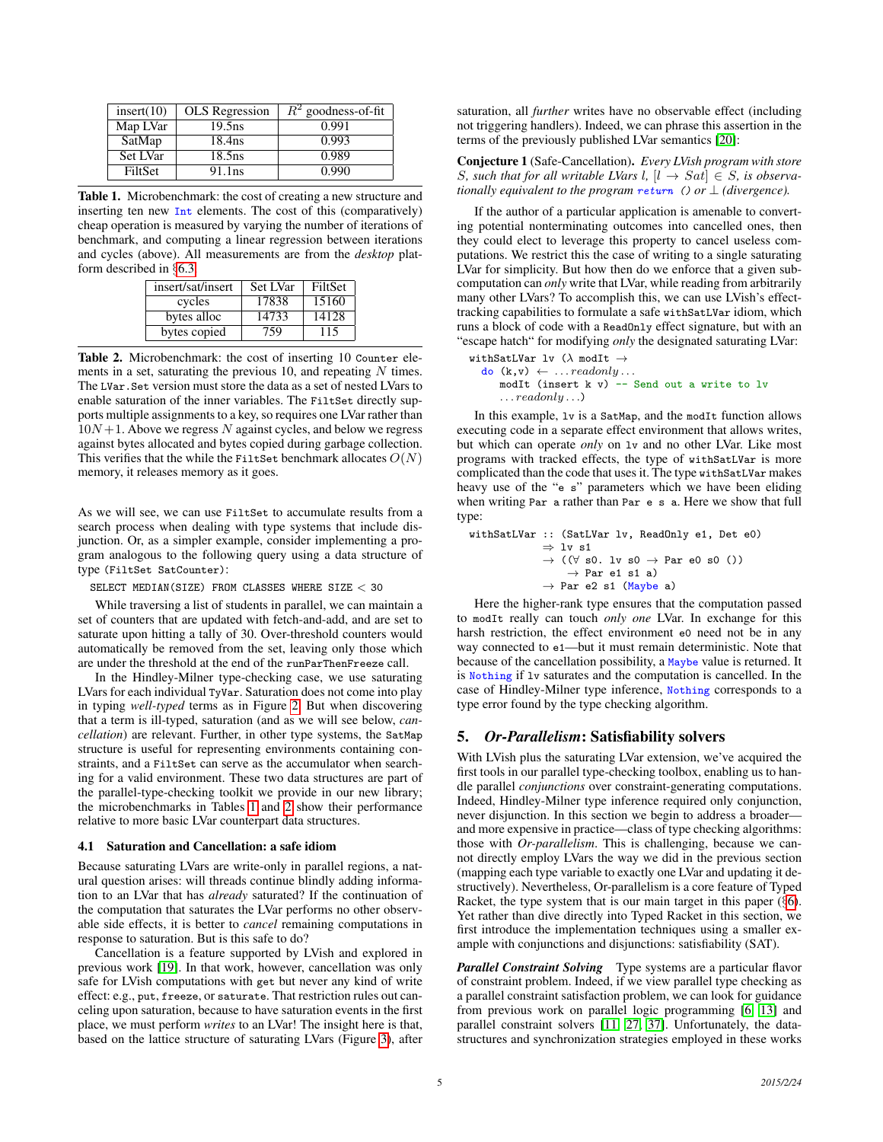| insert(10)     | <b>OLS</b> Regression | $R^2$ goodness-of-fit |
|----------------|-----------------------|-----------------------|
| Map LVar       | $19.5$ ns             | 0.991                 |
| SatMap         | 18.4 <sub>ns</sub>    | 0.993                 |
| Set LVar       | $18.5$ ns             | 0.989                 |
| <b>FiltSet</b> | 91.1 <sub>ns</sub>    | 0.990                 |

<span id="page-4-2"></span>Table 1. Microbenchmark: the cost of creating a new structure and inserting ten new Int elements. The cost of this (comparatively) cheap operation is measured by varying the number of iterations of benchmark, and computing a linear regression between iterations and cycles (above). All measurements are from the *desktop* platform described in §[6.3.](#page-7-0)

| insert/sat/insert | Set LVar | FiltSet |  |  |
|-------------------|----------|---------|--|--|
| cycles            | 17838    | 15160   |  |  |
| bytes alloc       | 14733    | 14128   |  |  |
| bytes copied      | 759      | 115     |  |  |

<span id="page-4-3"></span>Table 2. Microbenchmark: the cost of inserting 10 Counter elements in a set, saturating the previous 10, and repeating  $N$  times. The LVar. Set version must store the data as a set of nested LVars to enable saturation of the inner variables. The FiltSet directly supports multiple assignments to a key, so requires one LVar rather than  $10N+1$ . Above we regress N against cycles, and below we regress against bytes allocated and bytes copied during garbage collection. This verifies that the while the FiltSet benchmark allocates  $O(N)$ memory, it releases memory as it goes.

As we will see, we can use FiltSet to accumulate results from a search process when dealing with type systems that include disjunction. Or, as a simpler example, consider implementing a program analogous to the following query using a data structure of type (FiltSet SatCounter):

SELECT MEDIAN(SIZE) FROM CLASSES WHERE SIZE < 30

While traversing a list of students in parallel, we can maintain a set of counters that are updated with fetch-and-add, and are set to saturate upon hitting a tally of 30. Over-threshold counters would automatically be removed from the set, leaving only those which are under the threshold at the end of the runParThenFreeze call.

In the Hindley-Milner type-checking case, we use saturating LVars for each individual TyVar. Saturation does not come into play in typing *well-typed* terms as in Figure [2.](#page-2-1) But when discovering that a term is ill-typed, saturation (and as we will see below, *cancellation*) are relevant. Further, in other type systems, the SatMap structure is useful for representing environments containing constraints, and a FiltSet can serve as the accumulator when searching for a valid environment. These two data structures are part of the parallel-type-checking toolkit we provide in our new library; the microbenchmarks in Tables [1](#page-4-2) and [2](#page-4-3) show their performance relative to more basic LVar counterpart data structures.

### <span id="page-4-1"></span>4.1 Saturation and Cancellation: a safe idiom

Because saturating LVars are write-only in parallel regions, a natural question arises: will threads continue blindly adding information to an LVar that has *already* saturated? If the continuation of the computation that saturates the LVar performs no other observable side effects, it is better to *cancel* remaining computations in response to saturation. But is this safe to do?

Cancellation is a feature supported by LVish and explored in previous work [\[19\]](#page-10-9). In that work, however, cancellation was only safe for LVish computations with get but never any kind of write effect: e.g., put, freeze, or saturate. That restriction rules out canceling upon saturation, because to have saturation events in the first place, we must perform *writes* to an LVar! The insight here is that, based on the lattice structure of saturating LVars (Figure [3\)](#page-3-1), after saturation, all *further* writes have no observable effect (including not triggering handlers). Indeed, we can phrase this assertion in the terms of the previously published LVar semantics [\[20\]](#page-10-8):

Conjecture 1 (Safe-Cancellation). *Every LVish program with store* S, such that for all writable LVars  $l, [l \rightarrow Sat] \in S$ , is observa*tionally equivalent to the program return* () *or*  $\perp$  *(divergence).* 

If the author of a particular application is amenable to converting potential nonterminating outcomes into cancelled ones, then they could elect to leverage this property to cancel useless computations. We restrict this the case of writing to a single saturating LVar for simplicity. But how then do we enforce that a given subcomputation can *only* write that LVar, while reading from arbitrarily many other LVars? To accomplish this, we can use LVish's effecttracking capabilities to formulate a safe withSatLVar idiom, which runs a block of code with a ReadOnly effect signature, but with an "escape hatch" for modifying *only* the designated saturating LVar:

```
withSatLVar lv (\lambda \mod{It} \rightarrow\mathsf{do}(\mathsf{k},\mathsf{v}) \leftarrow \dots \text{readonly} \dotsmodIt (insert k v) -- Send out a write to lv
        \ldots readonly \ldots)
```
In this example, lv is a SatMap, and the modIt function allows executing code in a separate effect environment that allows writes, but which can operate *only* on lv and no other LVar. Like most programs with tracked effects, the type of withSatLVar is more complicated than the code that uses it. The type withSatLVar makes heavy use of the "e s" parameters which we have been eliding when writing Par a rather than Par e s a. Here we show that full type:

```
withSatLVar :: (SatLVar lv, ReadOnly e1, Det e0)
                 \Rightarrow lv s1
                 \rightarrow ((\forall s0. lv s0 \rightarrow Par e0 s0 ())
                      \rightarrow Par e1 s1 a)
                 \rightarrow Par e2 s1 (Maybe a)
```
Here the higher-rank type ensures that the computation passed to modIt really can touch *only one* LVar. In exchange for this harsh restriction, the effect environment e0 need not be in any way connected to e1—but it must remain deterministic. Note that because of the cancellation possibility, a Maybe value is returned. It is Nothing if lv saturates and the computation is cancelled. In the case of Hindley-Milner type inference, Nothing corresponds to a type error found by the type checking algorithm.

# <span id="page-4-0"></span>5. *Or-Parallelism*: Satisfiability solvers

With LVish plus the saturating LVar extension, we've acquired the first tools in our parallel type-checking toolbox, enabling us to handle parallel *conjunctions* over constraint-generating computations. Indeed, Hindley-Milner type inference required only conjunction, never disjunction. In this section we begin to address a broader and more expensive in practice—class of type checking algorithms: those with *Or-parallelism*. This is challenging, because we cannot directly employ LVars the way we did in the previous section (mapping each type variable to exactly one LVar and updating it destructively). Nevertheless, Or-parallelism is a core feature of Typed Racket, the type system that is our main target in this paper (§[6\)](#page-6-0). Yet rather than dive directly into Typed Racket in this section, we first introduce the implementation techniques using a smaller example with conjunctions and disjunctions: satisfiability (SAT).

*Parallel Constraint Solving* Type systems are a particular flavor of constraint problem. Indeed, if we view parallel type checking as a parallel constraint satisfaction problem, we can look for guidance from previous work on parallel logic programming [\[6,](#page-10-10) [13\]](#page-10-11) and parallel constraint solvers [\[11,](#page-10-12) [27,](#page-11-7) [37\]](#page-11-8). Unfortunately, the datastructures and synchronization strategies employed in these works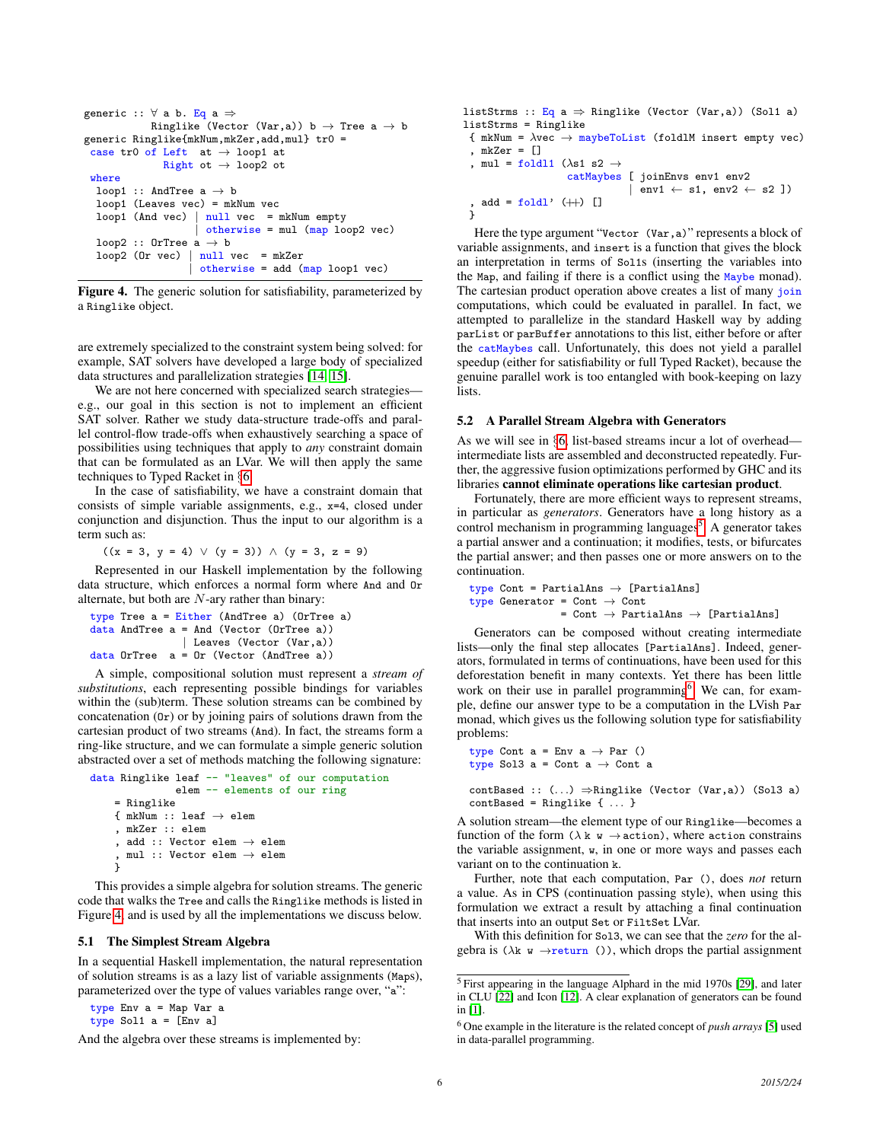```
generic :: \forall a b. Eq a \RightarrowRinglike (Vector (Var,a)) b \rightarrow Tree a \rightarrow b
generic Ringlike{mkNum,mkZer,add,mul} tr0 =
 case tr0 of Left at \rightarrow loop1 at
               Right ot \rightarrow loop2 ot
 where
  loop1 :: AndTree a \rightarrow bloop1 (Leaves vec) = mkNum vec
  loop1 (And vec) \vert null vec = mkNum empty
                       otherwise = mul (map loop2 vec)loop2 :: OrTree a \rightarrow bloop2 (Or vec) | null vec = mkZer
                      otherwise = add (map loop1 vec)
```
<span id="page-5-1"></span>Figure 4. The generic solution for satisfiability, parameterized by a Ringlike object.

are extremely specialized to the constraint system being solved: for example, SAT solvers have developed a large body of specialized data structures and parallelization strategies [\[14,](#page-10-13) [15\]](#page-10-14).

We are not here concerned with specialized search strategies e.g., our goal in this section is not to implement an efficient SAT solver. Rather we study data-structure trade-offs and parallel control-flow trade-offs when exhaustively searching a space of possibilities using techniques that apply to *any* constraint domain that can be formulated as an LVar. We will then apply the same techniques to Typed Racket in §[6.](#page-6-0)

In the case of satisfiability, we have a constraint domain that consists of simple variable assignments, e.g., x=4, closed under conjunction and disjunction. Thus the input to our algorithm is a term such as:

 $((x = 3, y = 4) \vee (y = 3)) \wedge (y = 3, z = 9)$ 

Represented in our Haskell implementation by the following data structure, which enforces a normal form where And and Or alternate, but both are  $N$ -ary rather than binary:

```
type Tree a = Either (AndTree a) (OrTree a)
data AndTree a = And (Vector (OrTree a))
               | Leaves (Vector (Var,a))
data OrTree a = Or (Vector (AndTree a))
```
A simple, compositional solution must represent a *stream of substitutions*, each representing possible bindings for variables within the (sub)term. These solution streams can be combined by concatenation (Or) or by joining pairs of solutions drawn from the cartesian product of two streams (And). In fact, the streams form a ring-like structure, and we can formulate a simple generic solution abstracted over a set of methods matching the following signature:

```
data Ringlike leaf -- "leaves" of our computation
                elem -- elements of our ring
    = Ringlike
    { mkNum :: leaf \rightarrow elem
     , mkZer :: elem
     , add :: Vector elem \rightarrow elem
       {\tt mul} :: Vector elem \rightarrow elem
     }
```
This provides a simple algebra for solution streams. The generic code that walks the Tree and calls the Ringlike methods is listed in Figure [4,](#page-5-1) and is used by all the implementations we discuss below.

### 5.1 The Simplest Stream Algebra

In a sequential Haskell implementation, the natural representation of solution streams is as a lazy list of variable assignments (Maps), parameterized over the type of values variables range over, "a":

type Env a = Map Var a type Sol1  $a = [env a]$ 

And the algebra over these streams is implemented by:

```
listStrms :: Eq a \Rightarrow Ringlike (Vector (Var,a)) (Sol1 a)
listStrms = Ringlike
 { mkNum = \lambdavec \rightarrow maybeToList (foldlM insert empty vec)
 , mkZer = []
 , mul = foldl1 (\lambdas1 s2 \rightarrowcatMaybes [ joinEnvs env1 env2
                                   env1 \leftarrow s1, env2 \leftarrow s2])
   add = fold' (++) []
 }
```
<span id="page-5-0"></span>Here the type argument "Vector (Var, a)" represents a block of variable assignments, and insert is a function that gives the block an interpretation in terms of Sol1s (inserting the variables into the Map, and failing if there is a conflict using the Maybe monad). The cartesian product operation above creates a list of many join computations, which could be evaluated in parallel. In fact, we attempted to parallelize in the standard Haskell way by adding parList or parBuffer annotations to this list, either before or after the catMaybes call. Unfortunately, this does not yield a parallel speedup (either for satisfiability or full Typed Racket), because the genuine parallel work is too entangled with book-keeping on lazy lists.

### 5.2 A Parallel Stream Algebra with Generators

As we will see in §[6,](#page-6-0) list-based streams incur a lot of overhead intermediate lists are assembled and deconstructed repeatedly. Further, the aggressive fusion optimizations performed by GHC and its libraries cannot eliminate operations like cartesian product.

Fortunately, there are more efficient ways to represent streams, in particular as *generators*. Generators have a long history as a control mechanism in programming languages<sup>[5](#page-5-2)</sup>. A generator takes a partial answer and a continuation; it modifies, tests, or bifurcates the partial answer; and then passes one or more answers on to the continuation.

```
type Cont = PartialAns \rightarrow [PartialAns]
type Generator = Cont \rightarrow Cont= Cont \rightarrow PartialAns \rightarrow [PartialAns]
```
Generators can be composed without creating intermediate lists—only the final step allocates [PartialAns]. Indeed, generators, formulated in terms of continuations, have been used for this deforestation benefit in many contexts. Yet there has been little work on their use in parallel programming<sup>[6](#page-5-3)</sup>. We can, for example, define our answer type to be a computation in the LVish Par monad, which gives us the following solution type for satisfiability problems:

```
type Cont a = Env a \rightarrow Par ()
type Sol3 a = Cont a \rightarrow Cont a
```
contBased ::  $(...) \Rightarrow$ Ringlike (Vector (Var,a)) (Sol3 a)  $contBased = Ringlike { ... }$ 

A solution stream—the element type of our Ringlike—becomes a function of the form ( $\lambda$  k w  $\rightarrow$  action), where action constrains the variable assignment, w, in one or more ways and passes each variant on to the continuation k.

Further, note that each computation, Par (), does *not* return a value. As in CPS (continuation passing style), when using this formulation we extract a result by attaching a final continuation that inserts into an output Set or FiltSet LVar.

With this definition for Sol3, we can see that the *zero* for the algebra is  $(\lambda \mathbf{k} \times \rightarrow \text{return } ()$ , which drops the partial assignment

<span id="page-5-2"></span><sup>5</sup> First appearing in the language Alphard in the mid 1970s [\[29\]](#page-11-9), and later in CLU [\[22\]](#page-10-15) and Icon [\[12\]](#page-10-16). A clear explanation of generators can be found in [\[1\]](#page-10-17).

<span id="page-5-3"></span><sup>6</sup> One example in the literature is the related concept of *push arrays* [\[5\]](#page-10-18) used in data-parallel programming.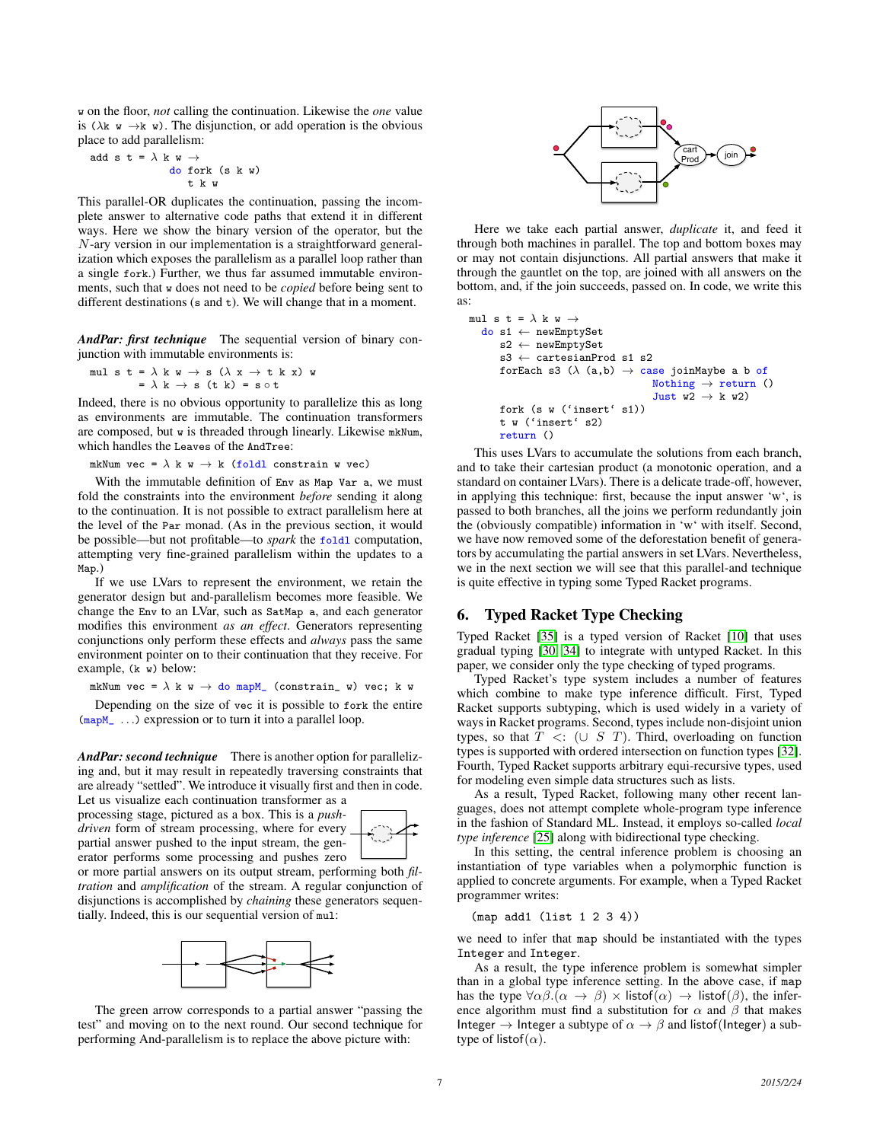w on the floor, *not* calling the continuation. Likewise the *one* value is ( $\lambda$ k w  $\rightarrow$ k w). The disjunction, or add operation is the obvious place to add parallelism:

$$
\begin{array}{rcl}\n\text{add } s \text{ } t = \lambda \text{ } k \text{ } w \rightarrow \\
\text{ do fork } (s \text{ } k \text{ } w) \\
\text{ } & \text{ } t \text{ } k \text{ } w\n\end{array}
$$

This parallel-OR duplicates the continuation, passing the incomplete answer to alternative code paths that extend it in different ways. Here we show the binary version of the operator, but the N-ary version in our implementation is a straightforward generalization which exposes the parallelism as a parallel loop rather than a single fork.) Further, we thus far assumed immutable environments, such that w does not need to be *copied* before being sent to different destinations (s and t). We will change that in a moment.

*AndPar: first technique* The sequential version of binary conjunction with immutable environments is:

$$
\begin{array}{l} \text{mul s t = }\lambda \text{ k w \rightarrow s } (\lambda \text{ x \rightarrow t k x}) \text{ w} \\ = \lambda \text{ k \rightarrow s (t k) = s \circ t} \end{array}
$$

Indeed, there is no obvious opportunity to parallelize this as long as environments are immutable. The continuation transformers are composed, but w is threaded through linearly. Likewise mkNum, which handles the Leaves of the AndTree:

mkNum vec =  $\lambda$  k w  $\rightarrow$  k (foldl constrain w vec)

With the immutable definition of Env as Map Var a, we must fold the constraints into the environment *before* sending it along to the continuation. It is not possible to extract parallelism here at the level of the Par monad. (As in the previous section, it would be possible—but not profitable—to *spark* the foldl computation, attempting very fine-grained parallelism within the updates to a Map.)

If we use LVars to represent the environment, we retain the generator design but and-parallelism becomes more feasible. We change the Env to an LVar, such as SatMap a, and each generator modifies this environment *as an effect*. Generators representing conjunctions only perform these effects and *always* pass the same environment pointer on to their continuation that they receive. For example, (k w) below:

mkNum vec =  $\lambda$  k w  $\rightarrow$  do mapM\_ (constrain\_ w) vec; k w

Depending on the size of vec it is possible to fork the entire  $(\text{mapM}_{\text{max}})$  ...) expression or to turn it into a parallel loop.

<span id="page-6-1"></span>*AndPar: second technique* There is another option for parallelizing and, but it may result in repeatedly traversing constraints that are already "settled". We introduce it visually first and then in code. Let us visualize each continuation transformer as a

processing stage, pictured as a box. This is a *pushdriven* form of stream processing, where for every partial answer pushed to the input stream, the generator performs some processing and pushes zero



or more partial answers on its output stream, performing both *filtration* and *amplification* of the stream. A regular conjunction of disjunctions is accomplished by *chaining* these generators sequentially. Indeed, this is our sequential version of mul:



The green arrow corresponds to a partial answer "passing the test" and moving on to the next round. Our second technique for



Here we take each partial answer, *duplicate* it, and feed it through both machines in parallel. The top and bottom boxes may or may not contain disjunctions. All partial answers that make it through the gauntlet on the top, are joined with all answers on the bottom, and, if the join succeeds, passed on. In code, we write this as:

```
mul s t = \lambda k w \rightarrowdo s1 ← newEmptySet
      s2 ← newEmptySet
      s3 ← cartesianProd s1 s2
      forEach s3 (\lambda \, (a,b) \rightarrow case joinMaybe a b of
                                     Nothing \rightarrow return ()
                                      Just w2 \rightarrow k w2)
      fork (s w ('insert' s1))
      t w ('insert' s2)
      return ()
```
and  $\mu = -3$  k or at a straight the boxing positive boxing the forming And particle of the above picture of the above picture of the above picture of the above picture of the above picture of the above picture of the abo This uses LVars to accumulate the solutions from each branch, and to take their cartesian product (a monotonic operation, and a standard on container LVars). There is a delicate trade-off, however, in applying this technique: first, because the input answer 'w', is passed to both branches, all the joins we perform redundantly join the (obviously compatible) information in 'w' with itself. Second, we have now removed some of the deforestation benefit of generators by accumulating the partial answers in set LVars. Nevertheless, we in the next section we will see that this parallel-and technique is quite effective in typing some Typed Racket programs.

# <span id="page-6-0"></span>6. Typed Racket Type Checking

Typed Racket [\[35\]](#page-11-2) is a typed version of Racket [\[10\]](#page-10-19) that uses gradual typing [\[30,](#page-11-10) [34\]](#page-11-11) to integrate with untyped Racket. In this paper, we consider only the type checking of typed programs.

Typed Racket's type system includes a number of features which combine to make type inference difficult. First, Typed Racket supports subtyping, which is used widely in a variety of ways in Racket programs. Second, types include non-disjoint union types, so that  $T \leq: (\cup S \ T)$ . Third, overloading on function types is supported with ordered intersection on function types [\[32\]](#page-11-12). Fourth, Typed Racket supports arbitrary equi-recursive types, used for modeling even simple data structures such as lists.

As a result, Typed Racket, following many other recent languages, does not attempt complete whole-program type inference in the fashion of Standard ML. Instead, it employs so-called *local type inference* [\[25\]](#page-11-13) along with bidirectional type checking.

In this setting, the central inference problem is choosing an instantiation of type variables when a polymorphic function is applied to concrete arguments. For example, when a Typed Racket programmer writes:

(map add1 (list 1 2 3 4))

we need to infer that map should be instantiated with the types Integer and Integer.

As a result, the type inference problem is somewhat simpler than in a global type inference setting. In the above case, if map has the type  $\forall \alpha \beta \cdot (\alpha \rightarrow \beta) \times$  listof $(\alpha) \rightarrow$  listof $(\beta)$ , the inference algorithm must find a substitution for  $\alpha$  and  $\beta$  that makes Integer  $\rightarrow$  Integer a subtype of  $\alpha \rightarrow \beta$  and listof(Integer) a subtype of listof( $\alpha$ ).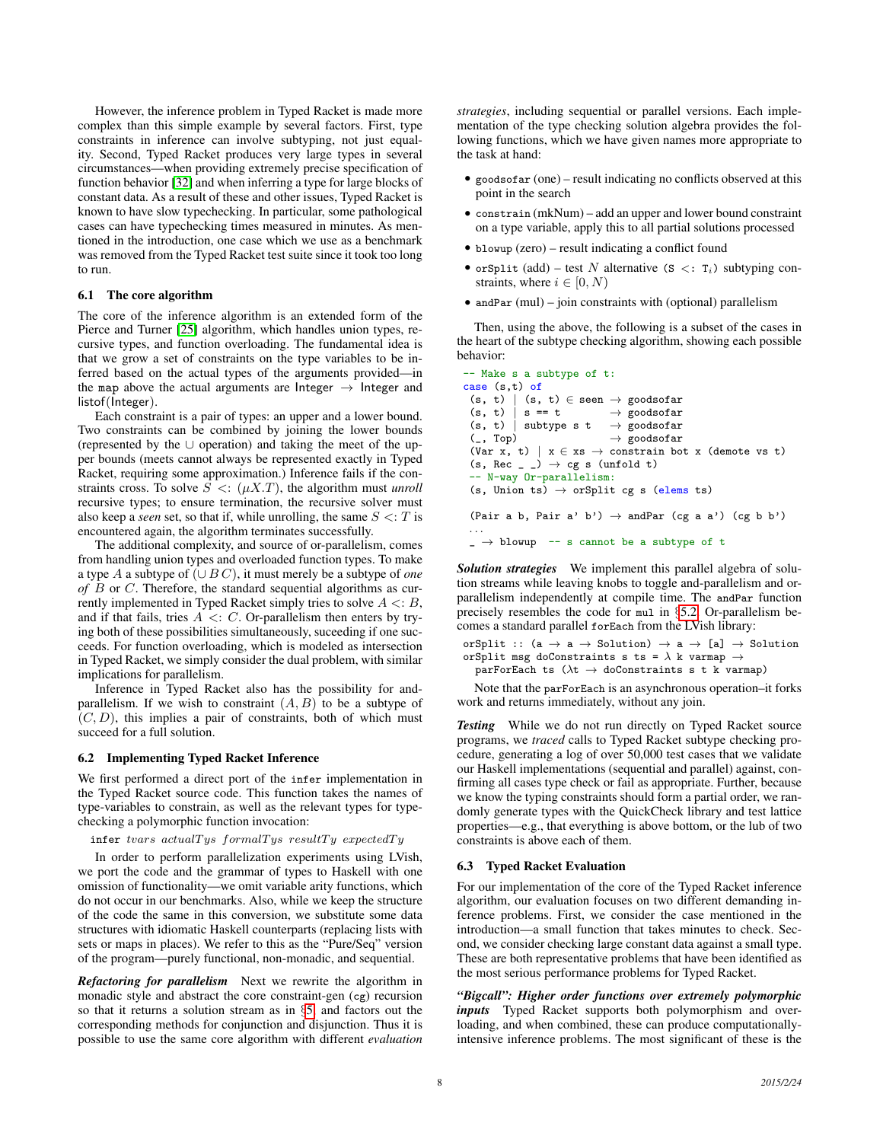However, the inference problem in Typed Racket is made more complex than this simple example by several factors. First, type constraints in inference can involve subtyping, not just equality. Second, Typed Racket produces very large types in several circumstances—when providing extremely precise specification of function behavior [\[32\]](#page-11-12) and when inferring a type for large blocks of constant data. As a result of these and other issues, Typed Racket is known to have slow typechecking. In particular, some pathological cases can have typechecking times measured in minutes. As mentioned in the introduction, one case which we use as a benchmark was removed from the Typed Racket test suite since it took too long to run.

### 6.1 The core algorithm

The core of the inference algorithm is an extended form of the Pierce and Turner [\[25\]](#page-11-13) algorithm, which handles union types, recursive types, and function overloading. The fundamental idea is that we grow a set of constraints on the type variables to be inferred based on the actual types of the arguments provided—in the map above the actual arguments are Integer  $\rightarrow$  Integer and listof(Integer).

Each constraint is a pair of types: an upper and a lower bound. Two constraints can be combined by joining the lower bounds (represented by the ∪ operation) and taking the meet of the upper bounds (meets cannot always be represented exactly in Typed Racket, requiring some approximation.) Inference fails if the constraints cross. To solve  $S \leq (\mu X.T)$ , the algorithm must *unroll* recursive types; to ensure termination, the recursive solver must also keep a *seen* set, so that if, while unrolling, the same  $S \le T$  is encountered again, the algorithm terminates successfully.

The additional complexity, and source of or-parallelism, comes from handling union types and overloaded function types. To make a type A a subtype of (∪ B C), it must merely be a subtype of *one of* B or C. Therefore, the standard sequential algorithms as currently implemented in Typed Racket simply tries to solve  $A \leq B$ , and if that fails, tries  $A \leq C$ . Or-parallelism then enters by trying both of these possibilities simultaneously, suceeding if one succeeds. For function overloading, which is modeled as intersection in Typed Racket, we simply consider the dual problem, with similar implications for parallelism.

Inference in Typed Racket also has the possibility for andparallelism. If we wish to constraint  $(A, B)$  to be a subtype of  $(C, D)$ , this implies a pair of constraints, both of which must succeed for a full solution.

### 6.2 Implementing Typed Racket Inference

We first performed a direct port of the infer implementation in the Typed Racket source code. This function takes the names of type-variables to constrain, as well as the relevant types for typechecking a polymorphic function invocation:

 $\inf$ er tvars actualTys formalTys resultTy expectedTy

In order to perform parallelization experiments using LVish, we port the code and the grammar of types to Haskell with one omission of functionality—we omit variable arity functions, which do not occur in our benchmarks. Also, while we keep the structure of the code the same in this conversion, we substitute some data structures with idiomatic Haskell counterparts (replacing lists with sets or maps in places). We refer to this as the "Pure/Seq" version of the program—purely functional, non-monadic, and sequential.

*Refactoring for parallelism* Next we rewrite the algorithm in monadic style and abstract the core constraint-gen (cg) recursion so that it returns a solution stream as in §[5,](#page-4-0) and factors out the corresponding methods for conjunction and disjunction. Thus it is possible to use the same core algorithm with different *evaluation* *strategies*, including sequential or parallel versions. Each implementation of the type checking solution algebra provides the following functions, which we have given names more appropriate to the task at hand:

- goods of a r (one) result indicating no conflicts observed at this point in the search
- constrain (mkNum) add an upper and lower bound constraint on a type variable, apply this to all partial solutions processed
- blowup (zero) result indicating a conflict found
- orSplit (add) test N alternative (S <:  $T_i$ ) subtyping constraints, where  $i \in [0, N)$
- andPar (mul) join constraints with (optional) parallelism

Then, using the above, the following is a subset of the cases in the heart of the subtype checking algorithm, showing each possible behavior:

```
-- Make s a subtype of t:
case (s,t) of
 (s, t) | (s, t) \in seen \rightarrow goodsofar
 (s, t) | s == t \rightarrow goodsofar
 (s, t) | subtype s t \rightarrow goodsofar
 (\_, Top) \rightarrow goodsofar
 (Var x, t) | x \in xs \rightarrow constrain bot x (demote vs t)
 (s, Rec_{-}) \rightarrow cg s (unfold t)-- N-way Or-parallelism:
 (s, Union ts) \rightarrow orSplit cg s (elems ts)
 (Pair a b, Pair a' b') \rightarrow andPar (cg a a') (cg b b')
 . . .
 \Box \rightarrow blowup -- s cannot be a subtype of t
```
*Solution strategies* We implement this parallel algebra of solution streams while leaving knobs to toggle and-parallelism and orparallelism independently at compile time. The andPar function precisely resembles the code for mul in §[5.2.](#page-6-1) Or-parallelism becomes a standard parallel forEach from the LVish library:

```
orSplit :: (a \rightarrow a \rightarrow Solution) \rightarrow a \rightarrow [a] \rightarrow Solution
orSplit msg doConstraints s ts = \lambda k varmap \rightarrowparForEach ts (\lambda t \rightarrow doConstants s t k varmap)
```
Note that the parForEach is an asynchronous operation–it forks work and returns immediately, without any join.

*Testing* While we do not run directly on Typed Racket source programs, we *traced* calls to Typed Racket subtype checking procedure, generating a log of over 50,000 test cases that we validate our Haskell implementations (sequential and parallel) against, confirming all cases type check or fail as appropriate. Further, because we know the typing constraints should form a partial order, we randomly generate types with the QuickCheck library and test lattice properties—e.g., that everything is above bottom, or the lub of two constraints is above each of them.

#### <span id="page-7-0"></span>6.3 Typed Racket Evaluation

For our implementation of the core of the Typed Racket inference algorithm, our evaluation focuses on two different demanding inference problems. First, we consider the case mentioned in the introduction—a small function that takes minutes to check. Second, we consider checking large constant data against a small type. These are both representative problems that have been identified as the most serious performance problems for Typed Racket.

*"Bigcall": Higher order functions over extremely polymorphic inputs* Typed Racket supports both polymorphism and overloading, and when combined, these can produce computationallyintensive inference problems. The most significant of these is the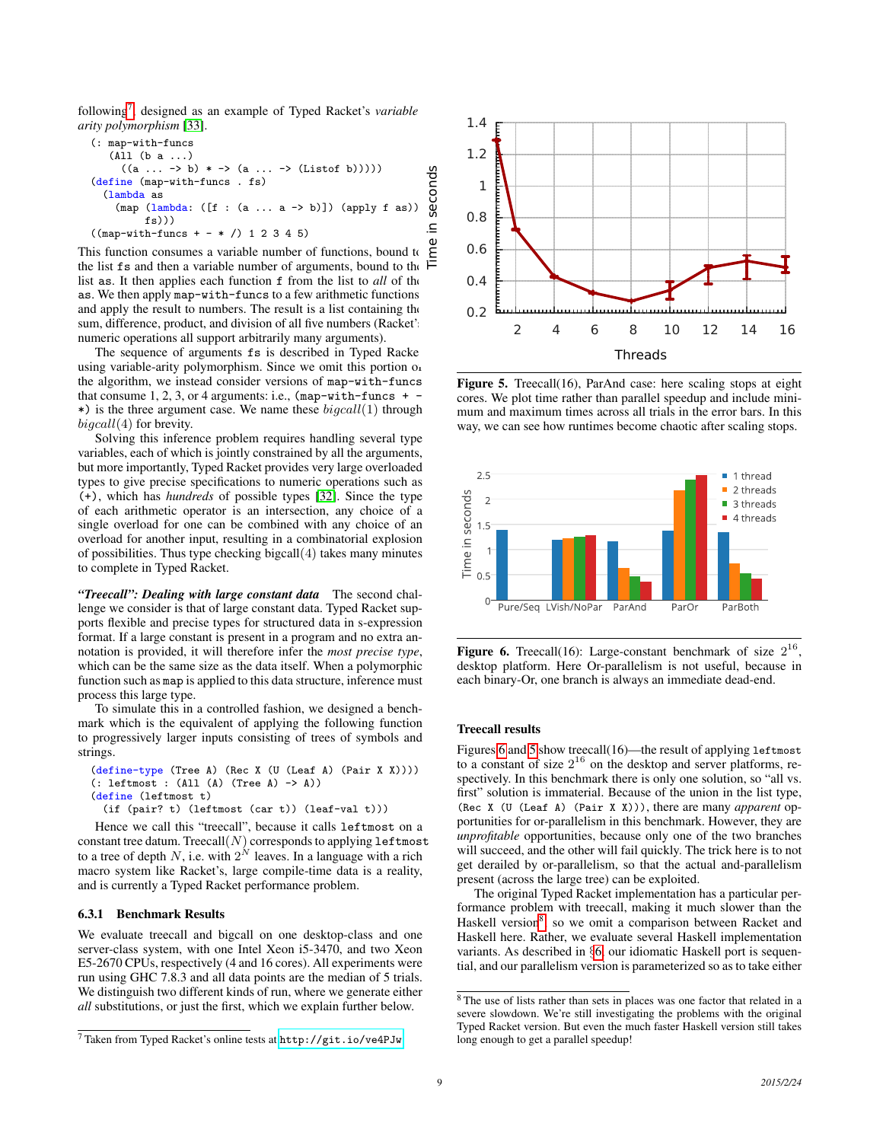following<sup>[7](#page-8-0)</sup>, designed as an example of Typed Racket's *variable arity polymorphism* [\[33\]](#page-11-14).

```
(: map-with-funcs
         (All (b a ...)
             ((a \dots \rightarrow b) * \rightarrow (a \dots \rightarrow (Listof b))))(define (map-with-funcs . fs)
       (lambda as
           (map (lambda: ([f : (a ... a -> b)]) (apply f as))
                    fs)))
   ((map-with-funcs + - * /) 1 2 3 4 5)
((a ... -> b) * -> (a ... -> (Listof b)))))<br>
(define (map-with-funcs . fs)<br>
(lambda as<br>
(map (lambda: ([f : (a ... a -> b)]) (apply f as))<br>
((map-with-funcs + - * /) 1 2 3 4 5)<br>
This function consumes a variable number of
                                                                                                          Time in seconds
```
the list fs and then a variable number of arguments, bound to the list as. It then applies each function f from the list to *all* of the as. We then apply map-with-funcs to a few arithmetic functions, and apply the result to numbers. The result is a list containing the sum, difference, product, and division of all five numbers (Racket's numeric operations all support arbitrarily many arguments).

The sequence of arguments fs is described in Typed Racke using variable-arity polymorphism. Since we omit this portion of the algorithm, we instead consider versions of map-with-funcs that consume  $1, 2, 3$ , or 4 arguments: i.e., (map-with-funcs +  $\cdot$ \*) is the three argument case. We name these  $bi\mathfrak{g}call(1)$  through  $bi\mathfrak{g}call(4)$  for brevity.

Solving this inference problem requires handling several type variables, each of which is jointly constrained by all the arguments, but more importantly, Typed Racket provides very large overloaded types to give precise specifications to numeric operations such as (+), which has *hundreds* of possible types [\[32\]](#page-11-12). Since the type of each arithmetic operator is an intersection, any choice of a single overload for one can be combined with any choice of an overload for another input, resulting in a combinatorial explosion of possibilities. Thus type checking bigcall(4) takes many minutes to complete in Typed Racket.

*"Treecall": Dealing with large constant data* The second challenge we consider is that of large constant data. Typed Racket supports flexible and precise types for structured data in s-expression format. If a large constant is present in a program and no extra annotation is provided, it will therefore infer the *most precise type*, which can be the same size as the data itself. When a polymorphic function such as map is applied to this data structure, inference must process this large type.

To simulate this in a controlled fashion, we designed a benchmark which is the equivalent of applying the following function to progressively larger inputs consisting of trees of symbols and strings.

```
(define-type (Tree A) (Rec X (U (Leaf A) (Pair X X))))
(: leftmost : (All (A) (Tree A) -> A))
(define (leftmost t)
 (if (pair? t) (leftmost (car t)) (leaf-val t)))
```
Hence we call this "treecall", because it calls leftmost on a constant tree datum. Treecall $(N)$  corresponds to applying leftmost to a tree of depth N, i.e. with  $2^N$  leaves. In a language with a rich macro system like Racket's, large compile-time data is a reality, and is currently a Typed Racket performance problem.

### 6.3.1 Benchmark Results

We evaluate treecall and bigcall on one desktop-class and one server-class system, with one Intel Xeon i5-3470, and two Xeon E5-2670 CPUs, respectively (4 and 16 cores). All experiments were run using GHC 7.8.3 and all data points are the median of 5 trials. We distinguish two different kinds of run, where we generate either *all* substitutions, or just the first, which we explain further below.



<span id="page-8-2"></span>Figure 5. Treecall(16), ParAnd case: here scaling stops at eight cores. We plot time rather than parallel speedup and include minimum and maximum times across all trials in the error bars. In this way, we can see how runtimes become chaotic after scaling stops.



<span id="page-8-1"></span>Figure 6. Treecall(16): Large-constant benchmark of size  $2^{16}$ , desktop platform. Here Or-parallelism is not useful, because in each binary-Or, one branch is always an immediate dead-end.

### Treecall results

Figures [6](#page-8-1) and [5](#page-8-2) show treecall(16)—the result of applying leftmost to a constant of size  $2^{16}$  on the desktop and server platforms, respectively. In this benchmark there is only one solution, so "all vs. first" solution is immaterial. Because of the union in the list type, (Rec X (U (Leaf A) (Pair X X))), there are many *apparent* opportunities for or-parallelism in this benchmark. However, they are *unprofitable* opportunities, because only one of the two branches will succeed, and the other will fail quickly. The trick here is to not get derailed by or-parallelism, so that the actual and-parallelism present (across the large tree) can be exploited.

The original Typed Racket implementation has a particular performance problem with treecall, making it much slower than the Haskell version<sup>[8](#page-8-3)</sup>, so we omit a comparison between Racket and Haskell here. Rather, we evaluate several Haskell implementation variants. As described in §[6,](#page-6-0) our idiomatic Haskell port is sequential, and our parallelism version is parameterized so as to take either

<span id="page-8-0"></span><sup>7</sup> Taken from Typed Racket's online tests at <http://git.io/ve4PJw>

<span id="page-8-3"></span><sup>8</sup> The use of lists rather than sets in places was one factor that related in a severe slowdown. We're still investigating the problems with the original Typed Racket version. But even the much faster Haskell version still takes long enough to get a parallel speedup!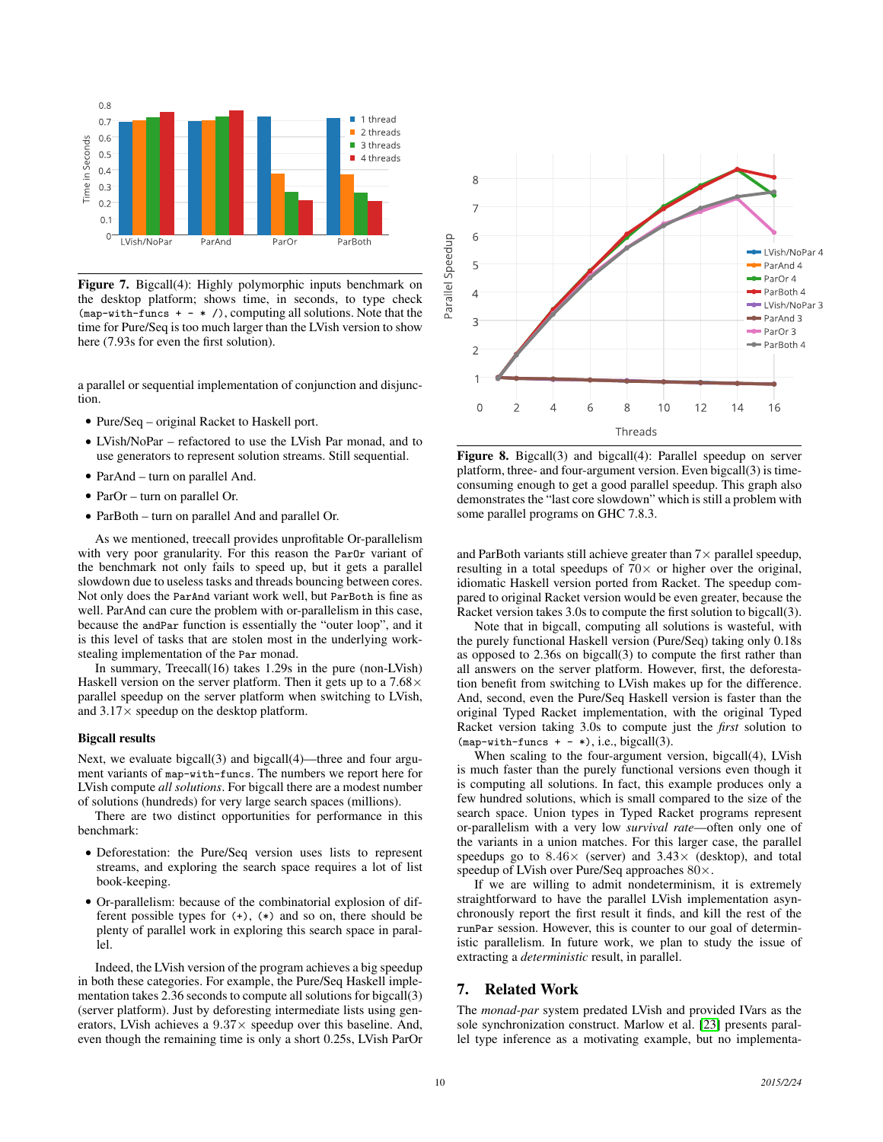

Figure 7. Bigcall(4): Highly polymorphic inputs benchmark on the desktop platform; shows time, in seconds, to type check  $(map-with-funcs + - * /)$ , computing all solutions. Note that the time for Pure/Seq is too much larger than the LVish version to show here (7.93s for even the first solution).

a parallel or sequential implementation of conjunction and disjunction.

- Pure/Seq original Racket to Haskell port.
- LVish/NoPar refactored to use the LVish Par monad, and to use generators to represent solution streams. Still sequential.
- ParAnd turn on parallel And.
- ParOr turn on parallel Or.
- ParBoth turn on parallel And and parallel Or.

As we mentioned, treecall provides unprofitable Or-parallelism with very poor granularity. For this reason the ParOr variant of the benchmark not only fails to speed up, but it gets a parallel slowdown due to useless tasks and threads bouncing between cores. Not only does the ParAnd variant work well, but ParBoth is fine as well. ParAnd can cure the problem with or-parallelism in this case, because the andPar function is essentially the "outer loop", and it is this level of tasks that are stolen most in the underlying workstealing implementation of the Par monad.

In summary, Treecall(16) takes 1.29s in the pure (non-LVish) Haskell version on the server platform. Then it gets up to a  $7.68\times$ parallel speedup on the server platform when switching to LVish, and  $3.17\times$  speedup on the desktop platform.

### Bigcall results

Next, we evaluate bigcall(3) and bigcall(4)—three and four argument variants of map-with-funcs. The numbers we report here for LVish compute *all solutions*. For bigcall there are a modest number of solutions (hundreds) for very large search spaces (millions).

There are two distinct opportunities for performance in this benchmark:

- Deforestation: the Pure/Seq version uses lists to represent streams, and exploring the search space requires a lot of list book-keeping.
- Or-parallelism: because of the combinatorial explosion of different possible types for (+), (\*) and so on, there should be plenty of parallel work in exploring this search space in parallel.

Indeed, the LVish version of the program achieves a big speedup in both these categories. For example, the Pure/Seq Haskell implementation takes 2.36 seconds to compute all solutions for bigcall(3) (server platform). Just by deforesting intermediate lists using generators, LVish achieves a  $9.37\times$  speedup over this baseline. And, even though the remaining time is only a short 0.25s, LVish ParOr



Figure 8. Bigcall(3) and bigcall(4): Parallel speedup on server platform, three- and four-argument version. Even bigcall(3) is timeconsuming enough to get a good parallel speedup. This graph also demonstrates the "last core slowdown" which is still a problem with some parallel programs on GHC 7.8.3.

and ParBoth variants still achieve greater than  $7\times$  parallel speedup, resulting in a total speedups of  $70\times$  or higher over the original, idiomatic Haskell version ported from Racket. The speedup compared to original Racket version would be even greater, because the Racket version takes 3.0s to compute the first solution to bigcall(3).

Note that in bigcall, computing all solutions is wasteful, with the purely functional Haskell version (Pure/Seq) taking only 0.18s as opposed to 2.36s on bigcall(3) to compute the first rather than all answers on the server platform. However, first, the deforestation benefit from switching to LVish makes up for the difference. And, second, even the Pure/Seq Haskell version is faster than the original Typed Racket implementation, with the original Typed Racket version taking 3.0s to compute just the *first* solution to  $(\text{map-with-funcs } + - *), i.e., bigcall(3).$ 

When scaling to the four-argument version, bigcall(4), LVish is much faster than the purely functional versions even though it is computing all solutions. In fact, this example produces only a few hundred solutions, which is small compared to the size of the search space. Union types in Typed Racket programs represent or-parallelism with a very low *survival rate*—often only one of the variants in a union matches. For this larger case, the parallel speedups go to  $8.46 \times$  (server) and  $3.43 \times$  (desktop), and total speedup of LVish over Pure/Seq approaches 80×.

If we are willing to admit nondeterminism, it is extremely straightforward to have the parallel LVish implementation asynchronously report the first result it finds, and kill the rest of the runPar session. However, this is counter to our goal of deterministic parallelism. In future work, we plan to study the issue of extracting a *deterministic* result, in parallel.

# 7. Related Work

The *monad-par* system predated LVish and provided IVars as the sole synchronization construct. Marlow et al. [\[23\]](#page-11-5) presents parallel type inference as a motivating example, but no implementa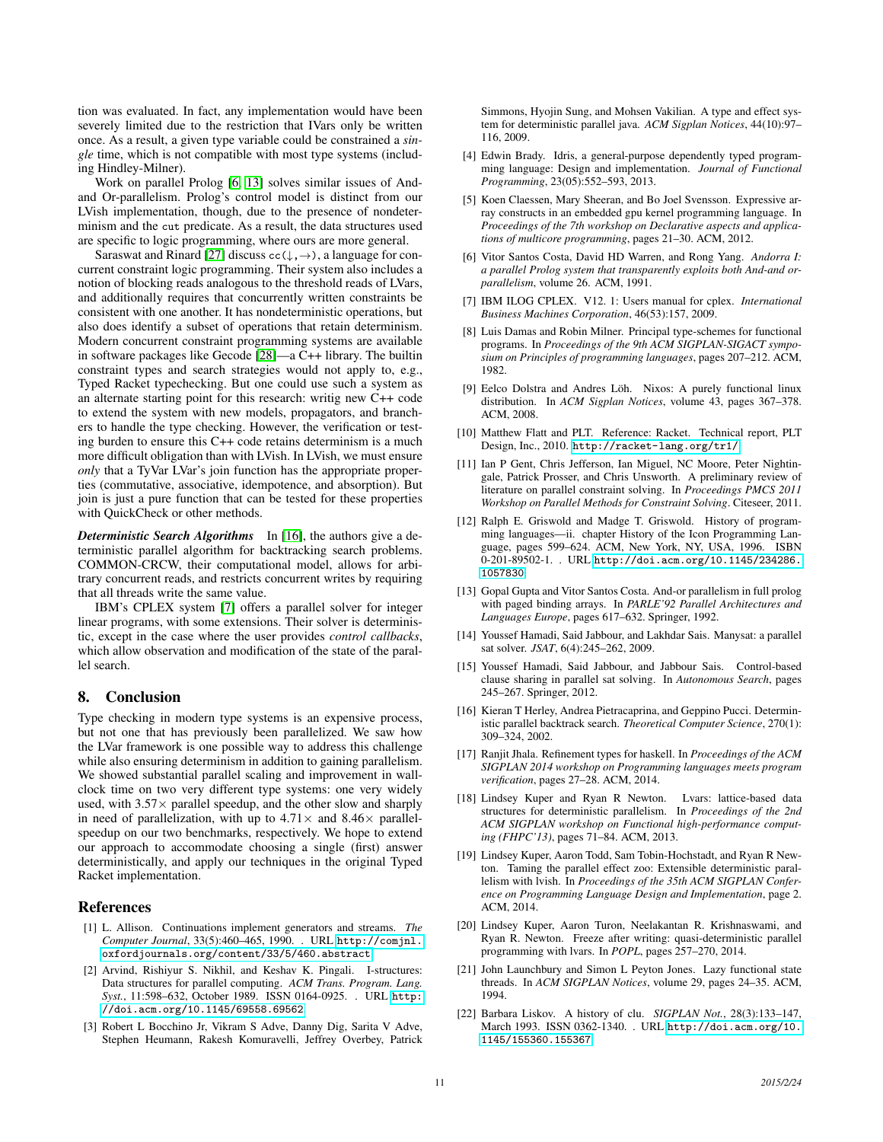tion was evaluated. In fact, any implementation would have been severely limited due to the restriction that IVars only be written once. As a result, a given type variable could be constrained a *single* time, which is not compatible with most type systems (including Hindley-Milner).

Work on parallel Prolog [\[6,](#page-10-10) [13\]](#page-10-11) solves similar issues of Andand Or-parallelism. Prolog's control model is distinct from our LVish implementation, though, due to the presence of nondeterminism and the cut predicate. As a result, the data structures used are specific to logic programming, where ours are more general.

Saraswat and Rinard [\[27\]](#page-11-7) discuss  $cc(\downarrow, \rightarrow)$ , a language for concurrent constraint logic programming. Their system also includes a notion of blocking reads analogous to the threshold reads of LVars, and additionally requires that concurrently written constraints be consistent with one another. It has nondeterministic operations, but also does identify a subset of operations that retain determinism. Modern concurrent constraint programming systems are available in software packages like Gecode [\[28\]](#page-11-15)—a C++ library. The builtin constraint types and search strategies would not apply to, e.g., Typed Racket typechecking. But one could use such a system as an alternate starting point for this research: writig new C++ code to extend the system with new models, propagators, and branchers to handle the type checking. However, the verification or testing burden to ensure this C++ code retains determinism is a much more difficult obligation than with LVish. In LVish, we must ensure *only* that a TyVar LVar's join function has the appropriate properties (commutative, associative, idempotence, and absorption). But join is just a pure function that can be tested for these properties with QuickCheck or other methods.

*Deterministic Search Algorithms* In [\[16\]](#page-10-20), the authors give a deterministic parallel algorithm for backtracking search problems. COMMON-CRCW, their computational model, allows for arbitrary concurrent reads, and restricts concurrent writes by requiring that all threads write the same value.

IBM's CPLEX system [\[7\]](#page-10-21) offers a parallel solver for integer linear programs, with some extensions. Their solver is deterministic, except in the case where the user provides *control callbacks*, which allow observation and modification of the state of the parallel search.

## 8. Conclusion

Type checking in modern type systems is an expensive process, but not one that has previously been parallelized. We saw how the LVar framework is one possible way to address this challenge while also ensuring determinism in addition to gaining parallelism. We showed substantial parallel scaling and improvement in wallclock time on two very different type systems: one very widely used, with  $3.57\times$  parallel speedup, and the other slow and sharply in need of parallelization, with up to  $4.71\times$  and  $8.46\times$  parallelspeedup on our two benchmarks, respectively. We hope to extend our approach to accommodate choosing a single (first) answer deterministically, and apply our techniques in the original Typed Racket implementation.

### References

- <span id="page-10-17"></span>[1] L. Allison. Continuations implement generators and streams. *The Computer Journal*, 33(5):460–465, 1990. . URL [http://comjnl.](http://comjnl.oxfordjournals.org/content/33/5/460.abstract) [oxfordjournals.org/content/33/5/460.abstract](http://comjnl.oxfordjournals.org/content/33/5/460.abstract).
- <span id="page-10-3"></span>[2] Arvind, Rishiyur S. Nikhil, and Keshav K. Pingali. I-structures: Data structures for parallel computing. *ACM Trans. Program. Lang. Syst.*, 11:598–632, October 1989. ISSN 0164-0925. . URL [http:](http://doi.acm.org/10.1145/69558.69562) [//doi.acm.org/10.1145/69558.69562](http://doi.acm.org/10.1145/69558.69562).
- <span id="page-10-0"></span>[3] Robert L Bocchino Jr, Vikram S Adve, Danny Dig, Sarita V Adve, Stephen Heumann, Rakesh Komuravelli, Jeffrey Overbey, Patrick

Simmons, Hyojin Sung, and Mohsen Vakilian. A type and effect system for deterministic parallel java. *ACM Sigplan Notices*, 44(10):97– 116, 2009.

- <span id="page-10-1"></span>[4] Edwin Brady. Idris, a general-purpose dependently typed programming language: Design and implementation. *Journal of Functional Programming*, 23(05):552–593, 2013.
- <span id="page-10-18"></span>[5] Koen Claessen, Mary Sheeran, and Bo Joel Svensson. Expressive array constructs in an embedded gpu kernel programming language. In *Proceedings of the 7th workshop on Declarative aspects and applications of multicore programming*, pages 21–30. ACM, 2012.
- <span id="page-10-10"></span>[6] Vitor Santos Costa, David HD Warren, and Rong Yang. *Andorra I: a parallel Prolog system that transparently exploits both And-and orparallelism*, volume 26. ACM, 1991.
- <span id="page-10-21"></span>[7] IBM ILOG CPLEX. V12. 1: Users manual for cplex. *International Business Machines Corporation*, 46(53):157, 2009.
- <span id="page-10-5"></span>[8] Luis Damas and Robin Milner. Principal type-schemes for functional programs. In *Proceedings of the 9th ACM SIGPLAN-SIGACT symposium on Principles of programming languages*, pages 207–212. ACM, 1982.
- <span id="page-10-7"></span>[9] Eelco Dolstra and Andres Löh. Nixos: A purely functional linux distribution. In *ACM Sigplan Notices*, volume 43, pages 367–378. ACM, 2008.
- <span id="page-10-19"></span>[10] Matthew Flatt and PLT. Reference: Racket. Technical report, PLT Design, Inc., 2010. <http://racket-lang.org/tr1/>.
- <span id="page-10-12"></span>[11] Ian P Gent, Chris Jefferson, Ian Miguel, NC Moore, Peter Nightingale, Patrick Prosser, and Chris Unsworth. A preliminary review of literature on parallel constraint solving. In *Proceedings PMCS 2011 Workshop on Parallel Methods for Constraint Solving*. Citeseer, 2011.
- <span id="page-10-16"></span>[12] Ralph E. Griswold and Madge T. Griswold. History of programming languages—ii. chapter History of the Icon Programming Language, pages 599–624. ACM, New York, NY, USA, 1996. ISBN 0-201-89502-1. . URL [http://doi.acm.org/10.1145/234286.](http://doi.acm.org/10.1145/234286.1057830) [1057830](http://doi.acm.org/10.1145/234286.1057830).
- <span id="page-10-11"></span>[13] Gopal Gupta and Vitor Santos Costa. And-or parallelism in full prolog with paged binding arrays. In *PARLE'92 Parallel Architectures and Languages Europe*, pages 617–632. Springer, 1992.
- <span id="page-10-13"></span>[14] Youssef Hamadi, Said Jabbour, and Lakhdar Sais. Manysat: a parallel sat solver. *JSAT*, 6(4):245–262, 2009.
- <span id="page-10-14"></span>[15] Youssef Hamadi, Said Jabbour, and Jabbour Sais. Control-based clause sharing in parallel sat solving. In *Autonomous Search*, pages 245–267. Springer, 2012.
- <span id="page-10-20"></span>[16] Kieran T Herley, Andrea Pietracaprina, and Geppino Pucci. Deterministic parallel backtrack search. *Theoretical Computer Science*, 270(1): 309–324, 2002.
- <span id="page-10-2"></span>[17] Ranjit Jhala. Refinement types for haskell. In *Proceedings of the ACM SIGPLAN 2014 workshop on Programming languages meets program verification*, pages 27–28. ACM, 2014.
- <span id="page-10-4"></span>[18] Lindsey Kuper and Ryan R Newton. Lvars: lattice-based data structures for deterministic parallelism. In *Proceedings of the 2nd ACM SIGPLAN workshop on Functional high-performance computing (FHPC'13)*, pages 71–84. ACM, 2013.
- <span id="page-10-9"></span>[19] Lindsey Kuper, Aaron Todd, Sam Tobin-Hochstadt, and Ryan R Newton. Taming the parallel effect zoo: Extensible deterministic parallelism with lvish. In *Proceedings of the 35th ACM SIGPLAN Conference on Programming Language Design and Implementation*, page 2. ACM, 2014.
- <span id="page-10-8"></span>[20] Lindsey Kuper, Aaron Turon, Neelakantan R. Krishnaswami, and Ryan R. Newton. Freeze after writing: quasi-deterministic parallel programming with lvars. In *POPL*, pages 257–270, 2014.
- <span id="page-10-6"></span>[21] John Launchbury and Simon L Peyton Jones. Lazy functional state threads. In *ACM SIGPLAN Notices*, volume 29, pages 24–35. ACM, 1994.
- <span id="page-10-15"></span>[22] Barbara Liskov. A history of clu. *SIGPLAN Not.*, 28(3):133–147, March 1993. ISSN 0362-1340. . URL [http://doi.acm.org/10.](http://doi.acm.org/10.1145/155360.155367) [1145/155360.155367](http://doi.acm.org/10.1145/155360.155367).